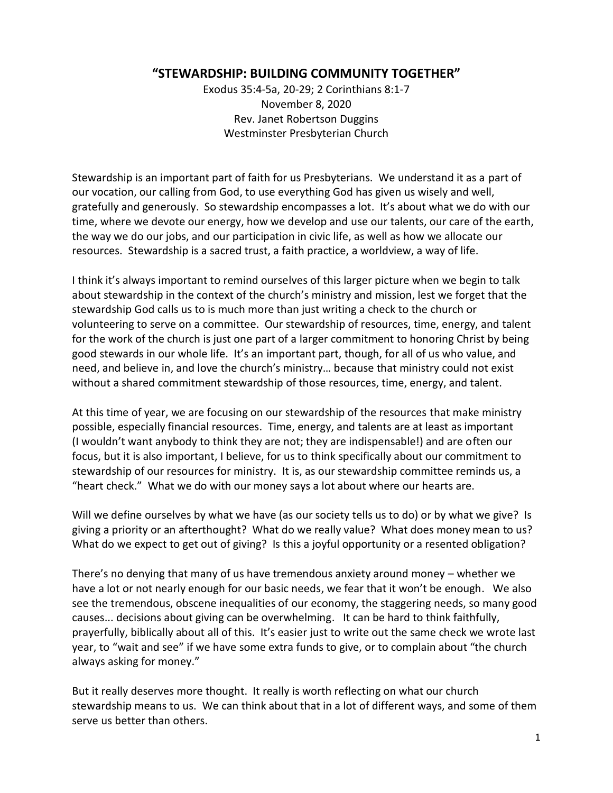## **"STEWARDSHIP: BUILDING COMMUNITY TOGETHER"**

Exodus 35:4-5a, 20-29; 2 Corinthians 8:1-7 November 8, 2020 Rev. Janet Robertson Duggins Westminster Presbyterian Church

Stewardship is an important part of faith for us Presbyterians. We understand it as a part of our vocation, our calling from God, to use everything God has given us wisely and well, gratefully and generously. So stewardship encompasses a lot. It's about what we do with our time, where we devote our energy, how we develop and use our talents, our care of the earth, the way we do our jobs, and our participation in civic life, as well as how we allocate our resources. Stewardship is a sacred trust, a faith practice, a worldview, a way of life.

I think it's always important to remind ourselves of this larger picture when we begin to talk about stewardship in the context of the church's ministry and mission, lest we forget that the stewardship God calls us to is much more than just writing a check to the church or volunteering to serve on a committee. Our stewardship of resources, time, energy, and talent for the work of the church is just one part of a larger commitment to honoring Christ by being good stewards in our whole life. It's an important part, though, for all of us who value, and need, and believe in, and love the church's ministry… because that ministry could not exist without a shared commitment stewardship of those resources, time, energy, and talent.

At this time of year, we are focusing on our stewardship of the resources that make ministry possible, especially financial resources. Time, energy, and talents are at least as important (I wouldn't want anybody to think they are not; they are indispensable!) and are often our focus, but it is also important, I believe, for us to think specifically about our commitment to stewardship of our resources for ministry. It is, as our stewardship committee reminds us, a "heart check." What we do with our money says a lot about where our hearts are.

Will we define ourselves by what we have (as our society tells us to do) or by what we give? Is giving a priority or an afterthought? What do we really value? What does money mean to us? What do we expect to get out of giving? Is this a joyful opportunity or a resented obligation?

There's no denying that many of us have tremendous anxiety around money – whether we have a lot or not nearly enough for our basic needs, we fear that it won't be enough. We also see the tremendous, obscene inequalities of our economy, the staggering needs, so many good causes... decisions about giving can be overwhelming. It can be hard to think faithfully, prayerfully, biblically about all of this. It's easier just to write out the same check we wrote last year, to "wait and see" if we have some extra funds to give, or to complain about "the church always asking for money."

But it really deserves more thought. It really is worth reflecting on what our church stewardship means to us. We can think about that in a lot of different ways, and some of them serve us better than others.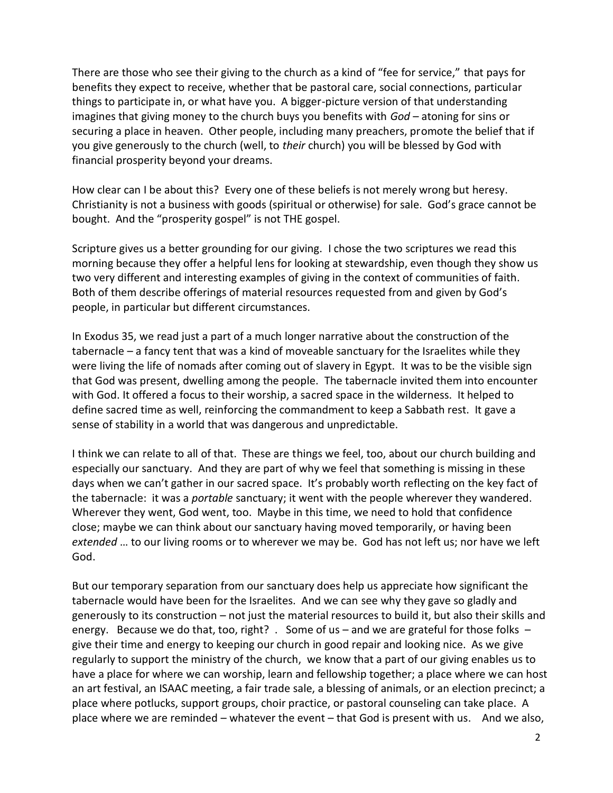There are those who see their giving to the church as a kind of "fee for service," that pays for benefits they expect to receive, whether that be pastoral care, social connections, particular things to participate in, or what have you. A bigger-picture version of that understanding imagines that giving money to the church buys you benefits with *God* – atoning for sins or securing a place in heaven. Other people, including many preachers, promote the belief that if you give generously to the church (well, to *their* church) you will be blessed by God with financial prosperity beyond your dreams.

How clear can I be about this? Every one of these beliefs is not merely wrong but heresy. Christianity is not a business with goods (spiritual or otherwise) for sale. God's grace cannot be bought. And the "prosperity gospel" is not THE gospel.

Scripture gives us a better grounding for our giving. I chose the two scriptures we read this morning because they offer a helpful lens for looking at stewardship, even though they show us two very different and interesting examples of giving in the context of communities of faith. Both of them describe offerings of material resources requested from and given by God's people, in particular but different circumstances.

In Exodus 35, we read just a part of a much longer narrative about the construction of the tabernacle – a fancy tent that was a kind of moveable sanctuary for the Israelites while they were living the life of nomads after coming out of slavery in Egypt. It was to be the visible sign that God was present, dwelling among the people. The tabernacle invited them into encounter with God. It offered a focus to their worship, a sacred space in the wilderness. It helped to define sacred time as well, reinforcing the commandment to keep a Sabbath rest. It gave a sense of stability in a world that was dangerous and unpredictable.

I think we can relate to all of that. These are things we feel, too, about our church building and especially our sanctuary. And they are part of why we feel that something is missing in these days when we can't gather in our sacred space. It's probably worth reflecting on the key fact of the tabernacle: it was a *portable* sanctuary; it went with the people wherever they wandered. Wherever they went, God went, too. Maybe in this time, we need to hold that confidence close; maybe we can think about our sanctuary having moved temporarily, or having been *extended* … to our living rooms or to wherever we may be. God has not left us; nor have we left God.

But our temporary separation from our sanctuary does help us appreciate how significant the tabernacle would have been for the Israelites. And we can see why they gave so gladly and generously to its construction – not just the material resources to build it, but also their skills and energy. Because we do that, too, right? . Some of us – and we are grateful for those folks – give their time and energy to keeping our church in good repair and looking nice. As we give regularly to support the ministry of the church, we know that a part of our giving enables us to have a place for where we can worship, learn and fellowship together; a place where we can host an art festival, an ISAAC meeting, a fair trade sale, a blessing of animals, or an election precinct; a place where potlucks, support groups, choir practice, or pastoral counseling can take place. A place where we are reminded – whatever the event – that God is present with us. And we also,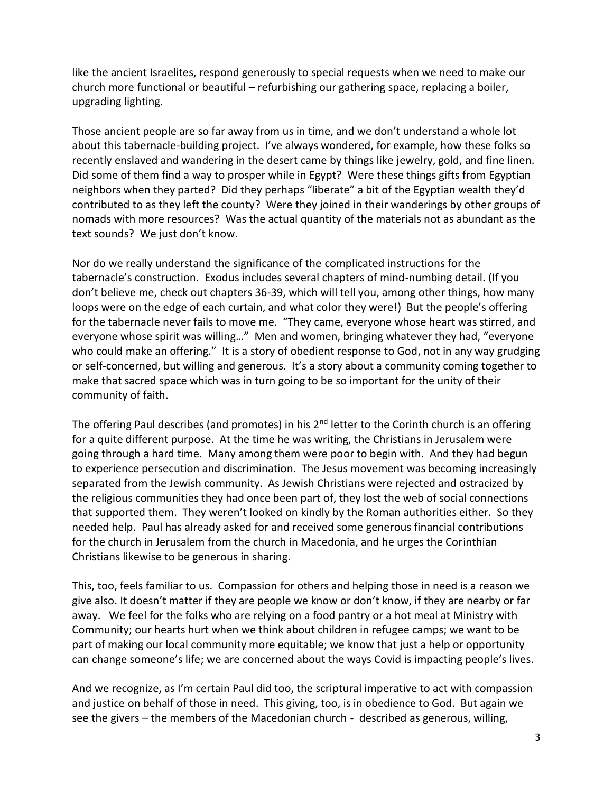like the ancient Israelites, respond generously to special requests when we need to make our church more functional or beautiful – refurbishing our gathering space, replacing a boiler, upgrading lighting.

Those ancient people are so far away from us in time, and we don't understand a whole lot about this tabernacle-building project. I've always wondered, for example, how these folks so recently enslaved and wandering in the desert came by things like jewelry, gold, and fine linen. Did some of them find a way to prosper while in Egypt? Were these things gifts from Egyptian neighbors when they parted? Did they perhaps "liberate" a bit of the Egyptian wealth they'd contributed to as they left the county? Were they joined in their wanderings by other groups of nomads with more resources? Was the actual quantity of the materials not as abundant as the text sounds? We just don't know.

Nor do we really understand the significance of the complicated instructions for the tabernacle's construction. Exodus includes several chapters of mind-numbing detail. (If you don't believe me, check out chapters 36-39, which will tell you, among other things, how many loops were on the edge of each curtain, and what color they were!) But the people's offering for the tabernacle never fails to move me. "They came, everyone whose heart was stirred, and everyone whose spirit was willing…" Men and women, bringing whatever they had, "everyone who could make an offering." It is a story of obedient response to God, not in any way grudging or self-concerned, but willing and generous. It's a story about a community coming together to make that sacred space which was in turn going to be so important for the unity of their community of faith.

The offering Paul describes (and promotes) in his  $2<sup>nd</sup>$  letter to the Corinth church is an offering for a quite different purpose. At the time he was writing, the Christians in Jerusalem were going through a hard time. Many among them were poor to begin with. And they had begun to experience persecution and discrimination. The Jesus movement was becoming increasingly separated from the Jewish community. As Jewish Christians were rejected and ostracized by the religious communities they had once been part of, they lost the web of social connections that supported them. They weren't looked on kindly by the Roman authorities either. So they needed help. Paul has already asked for and received some generous financial contributions for the church in Jerusalem from the church in Macedonia, and he urges the Corinthian Christians likewise to be generous in sharing.

This, too, feels familiar to us. Compassion for others and helping those in need is a reason we give also. It doesn't matter if they are people we know or don't know, if they are nearby or far away. We feel for the folks who are relying on a food pantry or a hot meal at Ministry with Community; our hearts hurt when we think about children in refugee camps; we want to be part of making our local community more equitable; we know that just a help or opportunity can change someone's life; we are concerned about the ways Covid is impacting people's lives.

And we recognize, as I'm certain Paul did too, the scriptural imperative to act with compassion and justice on behalf of those in need. This giving, too, is in obedience to God. But again we see the givers – the members of the Macedonian church - described as generous, willing,